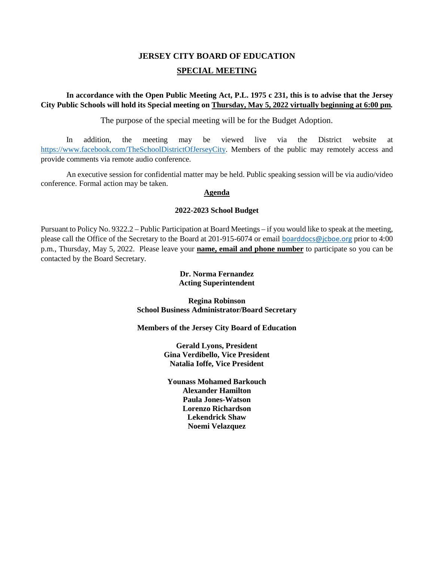# **JERSEY CITY BOARD OF EDUCATION SPECIAL MEETING**

**In accordance with the Open Public Meeting Act, P.L. 1975 c 231, this is to advise that the Jersey City Public Schools will hold its Special meeting on Thursday, May 5, 2022 virtually beginning at 6:00 pm***.* 

The purpose of the special meeting will be for the Budget Adoption.

In addition, the meeting may be viewed live via the District website at [https://www.facebook.com/TheSchoolDistrictOfJerseyCity.](https://www.facebook.com/TheSchoolDistrictOfJerseyCity) Members of the public may remotely access and provide comments via remote audio conference.

An executive session for confidential matter may be held. Public speaking session will be via audio/video conference. Formal action may be taken.

## **Agenda**

### **2022-2023 School Budget**

Pursuant to Policy No. 9322.2 – Public Participation at Board Meetings – if you would like to speak at the meeting, please call the Office of the Secretary to the Board at 201-915-6074 or email [boarddocs@jcboe.org](mailto:boarddocs@jcboe.org) prior to 4:00 p.m., Thursday, May 5, 2022. Please leave your **name, email and phone number** to participate so you can be contacted by the Board Secretary.

## **Dr. Norma Fernandez Acting Superintendent**

**Regina Robinson School Business Administrator/Board Secretary**

**Members of the Jersey City Board of Education**

**Gerald Lyons, President Gina Verdibello, Vice President Natalia Ioffe, Vice President** 

**Younass Mohamed Barkouch Alexander Hamilton Paula Jones-Watson Lorenzo Richardson Lekendrick Shaw Noemi Velazquez**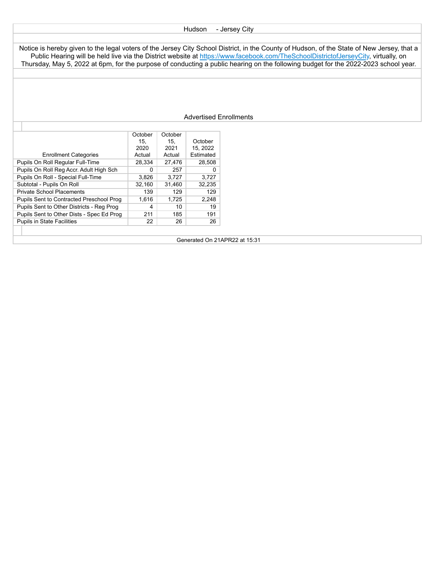#### Hudson - Jersey City

Notice is hereby given to the legal voters of the Jersey City School District, in the County of Hudson, of the State of New Jersey, that a Public Hearing will be held live via the District website at https://www.facebook.com/TheSchoolDistrictofJerseyCity, virtually, on Thursday, May 5, 2022 at 6pm, for the purpose of conducting a public hearing on the following budget for the 2022-2023 school year.

#### Advertised Enrollments

|                                           | October | October |           |
|-------------------------------------------|---------|---------|-----------|
|                                           | 15.     | 15.     | October   |
|                                           | 2020    | 2021    | 15.2022   |
| <b>Enrollment Categories</b>              | Actual  | Actual  | Estimated |
| Pupils On Roll Regular Full-Time          | 28.334  | 27,476  | 28,508    |
| Pupils On Roll Reg Accr. Adult High Sch   | 0       | 257     | 0         |
| Pupils On Roll - Special Full-Time        | 3,826   | 3,727   | 3,727     |
| Subtotal - Pupils On Roll                 | 32.160  | 31.460  | 32.235    |
| <b>Private School Placements</b>          | 139     | 129     | 129       |
| Pupils Sent to Contracted Preschool Prog  | 1.616   | 1,725   | 2.248     |
| Pupils Sent to Other Districts - Reg Prog | 4       | 10      | 19        |
| Pupils Sent to Other Dists - Spec Ed Prog | 211     | 185     | 191       |
| <b>Pupils in State Facilities</b>         | 22      | 26      | 26        |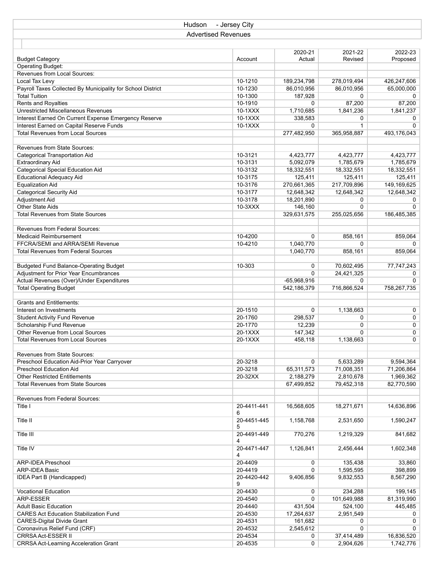| Hudson                                                      | - Jersey City              |               |              |             |
|-------------------------------------------------------------|----------------------------|---------------|--------------|-------------|
|                                                             | <b>Advertised Revenues</b> |               |              |             |
|                                                             |                            |               |              |             |
|                                                             |                            | 2020-21       | 2021-22      | 2022-23     |
| <b>Budget Category</b>                                      | Account                    | Actual        | Revised      | Proposed    |
| <b>Operating Budget:</b>                                    |                            |               |              |             |
| Revenues from Local Sources:                                |                            |               |              |             |
| Local Tax Levy                                              | 10-1210                    | 189,234,798   | 278,019,494  | 426,247,606 |
| Payroll Taxes Collected By Municipality for School District | 10-1230                    | 86,010,956    | 86,010,956   | 65,000,000  |
| <b>Total Tuition</b>                                        | 10-1300                    | 187,928       | 0            | 0           |
| Rents and Royalties                                         | 10-1910                    | 0             | 87,200       | 87,200      |
| Unrestricted Miscellaneous Revenues                         | 10-1XXX                    | 1,710,685     | 1,841,236    | 1,841,237   |
| Interest Earned On Current Expense Emergency Reserve        | $10-1XXX$                  | 338,583       | 0            | 0           |
| Interest Earned on Capital Reserve Funds                    | 10-1XXX                    | 0             | $\mathbf{1}$ | $\Omega$    |
| <b>Total Revenues from Local Sources</b>                    |                            | 277,482,950   | 365,958,887  | 493,176,043 |
|                                                             |                            |               |              |             |
| Revenues from State Sources:                                |                            |               |              |             |
| Categorical Transportation Aid                              | 10-3121                    | 4,423,777     | 4,423,777    | 4,423,777   |
| <b>Extraordinary Aid</b>                                    | 10-3131                    | 5,092,079     | 1,785,679    | 1,785,679   |
| <b>Categorical Special Education Aid</b>                    | 10-3132                    | 18,332,551    | 18,332,551   | 18,332,551  |
| <b>Educational Adequacy Aid</b>                             | 10-3175                    | 125,411       | 125,411      | 125,411     |
| <b>Equalization Aid</b>                                     | 10-3176                    | 270,661,365   | 217,709,896  | 149,169,625 |
| <b>Categorical Security Aid</b>                             | 10-3177                    | 12,648,342    | 12,648,342   | 12,648,342  |
| Adjustment Aid                                              | 10-3178                    | 18,201,890    | 0            | 0           |
| Other State Aids                                            | $10-3XXX$                  | 146,160       | 0            | 0           |
| <b>Total Revenues from State Sources</b>                    |                            |               |              |             |
|                                                             |                            | 329,631,575   | 255,025,656  | 186,485,385 |
| <b>Revenues from Federal Sources:</b>                       |                            |               |              |             |
| Medicaid Reimbursement                                      | 10-4200                    |               | 858,161      |             |
|                                                             |                            | 0             |              | 859,064     |
| FFCRA/SEMI and ARRA/SEMI Revenue                            | 10-4210                    | 1,040,770     | 0            | 0           |
| Total Revenues from Federal Sources                         |                            | 1,040,770     | 858,161      | 859,064     |
|                                                             |                            |               |              |             |
| <b>Budgeted Fund Balance-Operating Budget</b>               | 10-303                     | 0             | 70,602,495   | 77,747,243  |
| Adjustment for Prior Year Encumbrances                      |                            | 0             | 24,421,325   | 0           |
| Actual Revenues (Over)/Under Expenditures                   |                            | $-65,968,916$ | 0            | $\Omega$    |
| <b>Total Operating Budget</b>                               |                            | 542,186,379   | 716,866,524  | 758,267,735 |
|                                                             |                            |               |              |             |
| <b>Grants and Entitlements:</b>                             |                            |               |              |             |
| Interest on Investments                                     | 20-1510                    | 0             | 1,138,663    | 0           |
| <b>Student Activity Fund Revenue</b>                        | 20-1760                    | 298,537       | 0            | 0           |
| Scholarship Fund Revenue                                    | 20-1770                    | 12,239        | 0            | 0           |
| Other Revenue from Local Sources                            | 20-1XXX                    | 147,342       | 0            | 0           |
| <b>Total Revenues from Local Sources</b>                    | 20-1XXX                    | 458,118       | 1,138,663    | 0           |
|                                                             |                            |               |              |             |
| Revenues from State Sources:                                |                            |               |              |             |
| Preschool Education Aid-Prior Year Carryover                | 20-3218                    | 0             | 5,633,289    | 9,594,364   |
| Preschool Education Aid                                     | 20-3218                    | 65,311,573    | 71,008,351   | 71,206,864  |
| <b>Other Restricted Entitlements</b>                        | 20-32XX                    | 2,188,279     | 2,810,678    | 1,969,362   |
| <b>Total Revenues from State Sources</b>                    |                            | 67,499,852    | 79,452,318   | 82,770,590  |
|                                                             |                            |               |              |             |
| Revenues from Federal Sources:                              |                            |               |              |             |
| Title I                                                     | 20-4411-441                | 16,568,605    | 18,271,671   | 14,636,896  |
|                                                             | 6                          |               |              |             |
| Title II                                                    | 20-4451-445                | 1,158,768     | 2,531,650    | 1,590,247   |
|                                                             | 5                          |               |              |             |
| Title III                                                   | 20-4491-449                | 770,276       | 1,219,329    | 841,682     |
|                                                             | 4                          |               |              |             |
| Title IV                                                    | 20-4471-447                | 1,126,841     | 2,456,444    | 1,602,348   |
|                                                             | 4                          |               |              |             |
| <b>ARP-IDEA Preschool</b>                                   | 20-4409                    | 0             | 135,438      | 33,860      |
| <b>ARP-IDEA Basic</b>                                       | 20-4419                    | 0             | 1,595,595    | 398,899     |
| IDEA Part B (Handicapped)                                   | 20-4420-442                | 9,406,856     | 9,832,553    | 8,567,290   |
|                                                             | 9                          |               |              |             |
| Vocational Education                                        | 20-4430                    | 0             | 234,288      | 199,145     |
| ARP-ESSER                                                   | 20-4540                    | 0             | 101,649,988  | 81,319,990  |
| <b>Adult Basic Education</b>                                | 20-4440                    | 431,504       | 524,100      | 445,485     |
| <b>CARES Act Education Stabilization Fund</b>               | 20-4530                    | 17,264,637    | 2,951,549    | 0           |
| <b>CARES-Digital Divide Grant</b>                           | 20-4531                    | 161,682       | 0            | 0           |
| Coronavirus Relief Fund (CRF)                               | 20-4532                    | 2,545,612     | 0            | $\Omega$    |
| CRRSA Act-ESSER II                                          | 20-4534                    | 0             | 37,414,489   | 16,836,520  |
| <b>CRRSA Act-Learning Acceleration Grant</b>                | 20-4535                    | 0             | 2,904,626    | 1,742,776   |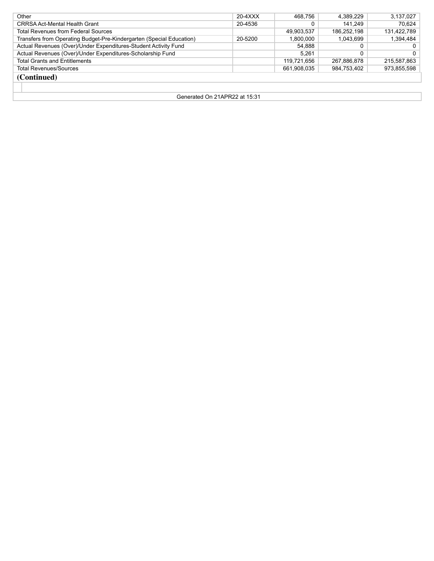| Other                                                                | 20-4XXX | 468.756     | 4.389.229   | 3,137,027      |
|----------------------------------------------------------------------|---------|-------------|-------------|----------------|
| CRRSA Act-Mental Health Grant                                        | 20-4536 |             | 141.249     | 70.624         |
| <b>Total Revenues from Federal Sources</b>                           |         | 49.903.537  | 186.252.198 | 131,422,789    |
| Transfers from Operating Budget-Pre-Kindergarten (Special Education) | 20-5200 | 1.800.000   | 1.043.699   | 1,394,484      |
| Actual Revenues (Over)/Under Expenditures-Student Activity Fund      |         | 54,888      |             | 0 <sup>1</sup> |
| Actual Revenues (Over)/Under Expenditures-Scholarship Fund           |         | 5.261       |             | $0-1$          |
| <b>Total Grants and Entitlements</b>                                 |         | 119.721.656 | 267.886.878 | 215,587,863    |
| <b>Total Revenues/Sources</b>                                        |         | 661.908.035 | 984.753.402 | 973,855,598    |
| (Continued)                                                          |         |             |             |                |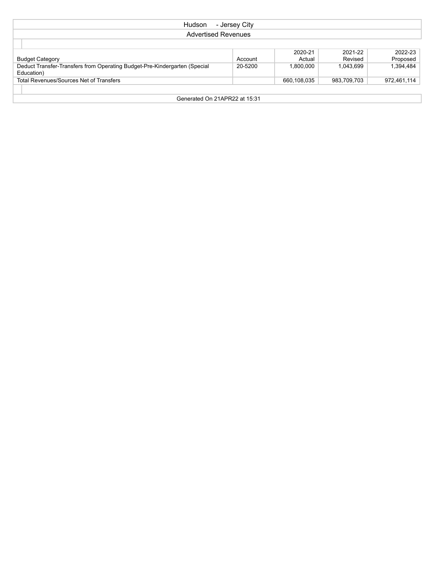| Hudson<br>- Jersey City                                                                     |         |           |           |           |  |  |  |
|---------------------------------------------------------------------------------------------|---------|-----------|-----------|-----------|--|--|--|
| <b>Advertised Revenues</b>                                                                  |         |           |           |           |  |  |  |
|                                                                                             |         |           |           |           |  |  |  |
|                                                                                             |         | 2020-21   | 2021-22   | 2022-23   |  |  |  |
| <b>Budget Category</b>                                                                      | Account | Actual    | Revised   | Proposed  |  |  |  |
| Deduct Transfer-Transfers from Operating Budget-Pre-Kindergarten (Special                   | 20-5200 | 1.800.000 | 1,043,699 | 1,394,484 |  |  |  |
| Education)                                                                                  |         |           |           |           |  |  |  |
| <b>Total Revenues/Sources Net of Transfers</b><br>660,108,035<br>983,709,703<br>972,461,114 |         |           |           |           |  |  |  |
|                                                                                             |         |           |           |           |  |  |  |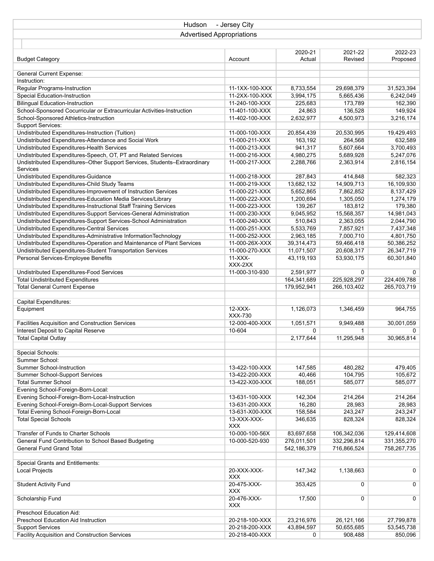| - Jersey City<br>Hudson                                                   |                |                   |                    |                     |  |  |  |
|---------------------------------------------------------------------------|----------------|-------------------|--------------------|---------------------|--|--|--|
| <b>Advertised Appropriations</b>                                          |                |                   |                    |                     |  |  |  |
|                                                                           |                |                   |                    |                     |  |  |  |
|                                                                           |                |                   |                    |                     |  |  |  |
| <b>Budget Category</b>                                                    | Account        | 2020-21<br>Actual | 2021-22<br>Revised | 2022-23<br>Proposed |  |  |  |
|                                                                           |                |                   |                    |                     |  |  |  |
| <b>General Current Expense:</b>                                           |                |                   |                    |                     |  |  |  |
| Instruction:                                                              |                |                   |                    |                     |  |  |  |
| Regular Programs-Instruction                                              | 11-1XX-100-XXX | 8,733,554         | 29,698,379         | 31,523,394          |  |  |  |
| Special Education-Instruction                                             | 11-2XX-100-XXX | 3,994,175         | 5,665,436          | 6,242,049           |  |  |  |
| <b>Bilingual Education-Instruction</b>                                    | 11-240-100-XXX | 225,683           | 173,789            | 162,390             |  |  |  |
| School-Sponsored Cocurricular or Extracurricular Activities-Instruction   | 11-401-100-XXX | 24,863            | 136,528            | 149,924             |  |  |  |
| School-Sponsored Athletics-Instruction                                    | 11-402-100-XXX | 2,632,977         | 4,500,973          | 3,216,174           |  |  |  |
| <b>Support Services:</b>                                                  |                |                   |                    |                     |  |  |  |
| Undistributed Expenditures-Instruction (Tuition)                          | 11-000-100-XXX | 20,854,439        | 20,530,995         | 19,429,493          |  |  |  |
| Undistributed Expenditures-Attendance and Social Work                     | 11-000-211-XXX | 163,192           | 264,568            | 632,589             |  |  |  |
| Undistributed Expenditures-Health Services                                | 11-000-213-XXX | 941,317           | 5,607,664          | 3,700,493           |  |  |  |
| Undistributed Expenditures-Speech, OT, PT and Related Services            | 11-000-216-XXX | 4,980,275         | 5,689,928          | 5,247,076           |  |  |  |
| Undistributed Expenditures-Other Support Services, Students-Extraordinary | 11-000-217-XXX | 2,288,766         | 2,363,914          | 2,816,154           |  |  |  |
| Services                                                                  |                |                   |                    |                     |  |  |  |
| Undistributed Expenditures-Guidance                                       | 11-000-218-XXX | 287,843           | 414,848            | 582,323             |  |  |  |
| Undistributed Expenditures-Child Study Teams                              | 11-000-219-XXX | 13,682,132        | 14,909,713         | 16,109,930          |  |  |  |
| Undistributed Expenditures-Improvement of Instruction Services            | 11-000-221-XXX | 5,652,865         | 7,862,852          | 8,137,429           |  |  |  |
| Undistributed Expenditures-Education Media Services/Library               | 11-000-222-XXX | 1,200,694         | 1,305,050          | 1,274,179           |  |  |  |
| Undistributed Expenditures-Instructional Staff Training Services          | 11-000-223-XXX | 139,267           | 183,812            | 179,380             |  |  |  |
| Undistributed Expenditures-Support Services-General Administration        | 11-000-230-XXX | 9,045,952         | 15,568,357         | 14,981,043          |  |  |  |
| Undistributed Expenditures-Support Services-School Administration         | 11-000-240-XXX | 510,843           | 2,363,055          | 2,044,790           |  |  |  |
| Undistributed Expenditures-Central Services                               | 11-000-251-XXX | 5,533,769         | 7,857,921          | 7,437,348           |  |  |  |
| Undistributed Expenditures-Administrative InformationTechnology           | 11-000-252-XXX | 2,963,185         | 7,000,710          | 4,801,750           |  |  |  |
| Undistributed Expenditures-Operation and Maintenance of Plant Services    | 11-000-26X-XXX | 39,314,473        | 59,466,418         | 50,386,252          |  |  |  |
| Undistributed Expenditures-Student Transportation Services                | 11-000-270-XXX | 11,071,507        | 20,608,317         | 26,347,719          |  |  |  |
| Personal Services-Employee Benefits                                       | $11-XXX-$      | 43,119,193        | 53,930,175         | 60,301,840          |  |  |  |
|                                                                           | XXX-2XX        |                   |                    |                     |  |  |  |
| Undistributed Expenditures-Food Services                                  | 11-000-310-930 | 2,591,977         | 0                  | 0                   |  |  |  |
| <b>Total Undistributed Expenditures</b>                                   |                | 164,341,689       | 225,928,297        | 224,409,788         |  |  |  |
| <b>Total General Current Expense</b>                                      |                | 179,952,941       | 266,103,402        | 265,703,719         |  |  |  |
|                                                                           |                |                   |                    |                     |  |  |  |
| Capital Expenditures:                                                     |                |                   |                    |                     |  |  |  |
| Equipment                                                                 | $12-XXX-$      | 1.126.073         | 1,346,459          | 964,755             |  |  |  |
|                                                                           | XXX-730        |                   |                    |                     |  |  |  |
| Facilities Acquisition and Construction Services                          | 12-000-400-XXX | 1,051,571         | 9,949,488          | 30,001,059          |  |  |  |
| Interest Deposit to Capital Reserve                                       | 10-604         | 0                 | $\mathbf{1}$       | 0                   |  |  |  |
| <b>Total Capital Outlay</b>                                               |                | 2,177,644         | 11,295,948         | 30,965,814          |  |  |  |
|                                                                           |                |                   |                    |                     |  |  |  |
| Special Schools:                                                          |                |                   |                    |                     |  |  |  |
| Summer School:                                                            |                |                   |                    |                     |  |  |  |
| Summer School-Instruction                                                 | 13-422-100-XXX | 147,585           | 480,282            | 479,405             |  |  |  |
| Summer School-Support Services                                            | 13-422-200-XXX | 40,466            | 104,795            | 105,672             |  |  |  |
| <b>Total Summer School</b>                                                | 13-422-X00-XXX | 188,051           | 585,077            | 585,077             |  |  |  |
| Evening School-Foreign-Born-Local:                                        |                |                   |                    |                     |  |  |  |
| Evening School-Foreign-Born-Local-Instruction                             | 13-631-100-XXX | 142,304           | 214,264            | 214,264             |  |  |  |
| Evening School-Foreign-Born-Local-Support Services                        | 13-631-200-XXX | 16,280            | 28,983             | 28,983              |  |  |  |
| Total Evening School-Foreign-Born-Local                                   | 13-631-X00-XXX | 158,584           | 243,247            | 243,247             |  |  |  |
| <b>Total Special Schools</b>                                              | 13-XXX-XXX-    | 346,635           | 828,324            | 828,324             |  |  |  |
|                                                                           | <b>XXX</b>     |                   |                    |                     |  |  |  |
| Transfer of Funds to Charter Schools                                      | 10-000-100-56X | 83,697,658        | 106,342,036        | 129,414,608         |  |  |  |
| General Fund Contribution to School Based Budgeting                       | 10-000-520-930 | 276,011,501       | 332,296,814        | 331,355,270         |  |  |  |
| <b>General Fund Grand Total</b>                                           |                | 542,186,379       | 716,866,524        | 758,267,735         |  |  |  |
|                                                                           |                |                   |                    |                     |  |  |  |
| Special Grants and Entitlements:                                          |                |                   |                    |                     |  |  |  |
| <b>Local Projects</b>                                                     | 20-XXX-XXX-    | 147,342           | 1,138,663          | 0                   |  |  |  |
|                                                                           | <b>XXX</b>     |                   |                    |                     |  |  |  |
| <b>Student Activity Fund</b>                                              | 20-475-XXX-    | 353,425           | 0                  | 0                   |  |  |  |
|                                                                           | <b>XXX</b>     |                   |                    |                     |  |  |  |
| Scholarship Fund                                                          | 20-476-XXX-    | 17,500            | 0                  | 0                   |  |  |  |
|                                                                           | <b>XXX</b>     |                   |                    |                     |  |  |  |
| Preschool Education Aid:                                                  |                |                   |                    |                     |  |  |  |
| Preschool Education Aid Instruction                                       | 20-218-100-XXX | 23,216,976        | 26,121,166         | 27,799,878          |  |  |  |
| <b>Support Services</b>                                                   | 20-218-200-XXX | 43,894,597        | 50,655,685         | 53,545,738          |  |  |  |
| Facility Acquisition and Construction Services                            | 20-218-400-XXX | 0                 | 908,488            | 850,096             |  |  |  |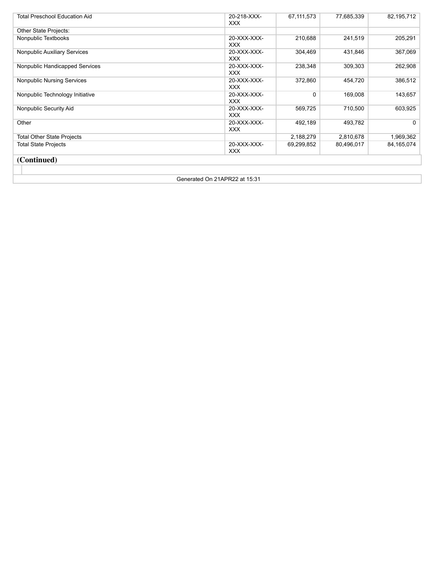| <b>Total Preschool Education Aid</b> | 20-218-XXX-<br>XXX. | 67,111,573   | 77,685,339 | 82,195,712 |
|--------------------------------------|---------------------|--------------|------------|------------|
| Other State Projects:                |                     |              |            |            |
| Nonpublic Textbooks                  | 20-XXX-XXX-<br>XXX. | 210,688      | 241,519    | 205,291    |
| Nonpublic Auxiliary Services         | 20-XXX-XXX-<br>XXX. | 304,469      | 431,846    | 367,069    |
| Nonpublic Handicapped Services       | 20-XXX-XXX-<br>XXX. | 238,348      | 309,303    | 262,908    |
| <b>Nonpublic Nursing Services</b>    | 20-XXX-XXX-<br>XXX. | 372,860      | 454,720    | 386,512    |
| Nonpublic Technology Initiative      | 20-XXX-XXX-<br>XXX. | $\mathbf{0}$ | 169,008    | 143,657    |
| Nonpublic Security Aid               | 20-XXX-XXX-<br>XXX. | 569,725      | 710,500    | 603,925    |
| Other                                | 20-XXX-XXX-<br>XXX. | 492,189      | 493,782    | 0          |
| <b>Total Other State Projects</b>    |                     | 2,188,279    | 2,810,678  | 1,969,362  |
| <b>Total State Projects</b>          | 20-XXX-XXX-<br>XXX. | 69,299,852   | 80,496,017 | 84,165,074 |
| (Continued)                          |                     |              |            |            |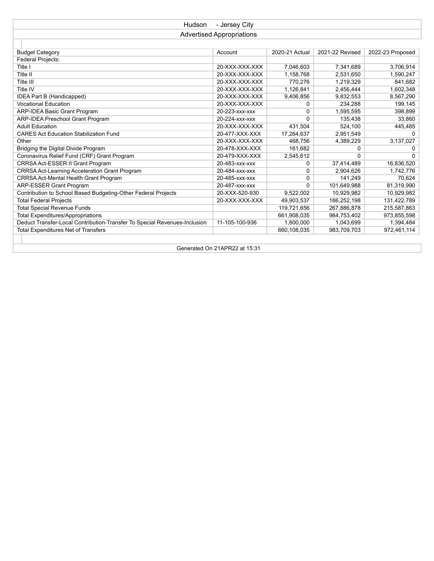| - Jersey City<br>Hudson                                                   |                               |                |                 |                  |  |  |  |  |
|---------------------------------------------------------------------------|-------------------------------|----------------|-----------------|------------------|--|--|--|--|
| <b>Advertised Appropriations</b>                                          |                               |                |                 |                  |  |  |  |  |
|                                                                           |                               |                |                 |                  |  |  |  |  |
| <b>Budget Category</b>                                                    | Account                       | 2020-21 Actual | 2021-22 Revised | 2022-23 Proposed |  |  |  |  |
| Federal Projects:                                                         |                               |                |                 |                  |  |  |  |  |
| Title I                                                                   | 20-XXX-XXX-XXX                | 7,046,603      | 7,341,689       | 3,706,914        |  |  |  |  |
| Title II                                                                  | 20-XXX-XXX-XXX                | 1,158,768      | 2,531,650       | 1,590,247        |  |  |  |  |
| Title III                                                                 | 20-XXX-XXX-XXX                | 770,276        | 1,219,329       | 841,682          |  |  |  |  |
| Title IV                                                                  | 20-XXX-XXX-XXX                | 1,126,841      | 2,456,444       | 1,602,348        |  |  |  |  |
| IDEA Part B (Handicapped)                                                 | 20-XXX-XXX-XXX                | 9,406,856      | 9,832,553       | 8,567,290        |  |  |  |  |
| <b>Vocational Education</b>                                               | 20-XXX-XXX-XXX                | 0              | 234,288         | 199,145          |  |  |  |  |
| <b>ARP-IDEA Basic Grant Program</b>                                       | 20-223-xxx-xxx                | 0              | 1,595,595       | 398,899          |  |  |  |  |
| <b>ARP-IDEA Preschool Grant Program</b>                                   | 20-224-xxx-xxx                | 0              | 135,438         | 33,860           |  |  |  |  |
| <b>Adult Education</b>                                                    | 20-XXX-XXX-XXX                | 431.504        | 524.100         | 445,485          |  |  |  |  |
| <b>CARES Act Education Stabilization Fund</b>                             | 20-477-XXX-XXX                | 17,264,637     | 2,951,549       | 0                |  |  |  |  |
| Other                                                                     | 20-XXX-XXX-XXX                | 468,756        | 4,389,229       | 3,137,027        |  |  |  |  |
| Bridging the Digital Divide Program                                       | 20-478-XXX-XXX                | 161,682        | 0               | 0                |  |  |  |  |
| Coronavirus Relief Fund (CRF) Grant Program                               | 20-479-XXX-XXX                | 2,545,612      | 0               | 0                |  |  |  |  |
| CRRSA Act-ESSER II Grant Program                                          | 20-483-xxx-xxx                | 0              | 37,414,489      | 16,836,520       |  |  |  |  |
| CRRSA Act-Learning Acceleration Grant Program                             | 20-484-xxx-xxx                | 0              | 2,904,626       | 1,742,776        |  |  |  |  |
| CRRSA Act-Mental Health Grant Program                                     | 20-485-xxx-xxx                | 0              | 141.249         | 70.624           |  |  |  |  |
| <b>ARP-ESSER Grant Program</b>                                            | 20-487-xxx-xxx                | 0              | 101,649,988     | 81,319,990       |  |  |  |  |
| Contribution to School Based Budgeting-Other Federal Projects             | 20-XXX-520-930                | 9,522,002      | 10,929,982      | 10,929,982       |  |  |  |  |
| <b>Total Federal Projects</b>                                             | 20-XXX-XXX-XXX                | 49,903,537     | 186,252,198     | 131,422,789      |  |  |  |  |
| <b>Total Special Revenue Funds</b>                                        |                               | 119,721,656    | 267,886,878     | 215,587,863      |  |  |  |  |
| <b>Total Expenditures/Appropriations</b>                                  |                               | 661,908,035    | 984,753,402     | 973,855,598      |  |  |  |  |
| Deduct Transfer-Local Contribution-Transfer To Special Revenues-Inclusion | 11-105-100-936                | 1,800,000      | 1,043,699       | 1,394,484        |  |  |  |  |
| <b>Total Expenditures Net of Transfers</b>                                |                               | 660,108,035    | 983,709,703     | 972,461,114      |  |  |  |  |
|                                                                           |                               |                |                 |                  |  |  |  |  |
|                                                                           | Generated On 21APR22 at 15:31 |                |                 |                  |  |  |  |  |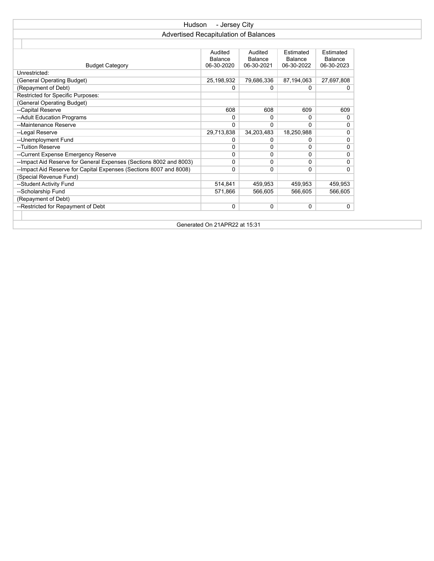| Hudson<br>- Jersey City                                                                                                                                                    |                                       |            |            |         |  |  |  |  |  |
|----------------------------------------------------------------------------------------------------------------------------------------------------------------------------|---------------------------------------|------------|------------|---------|--|--|--|--|--|
|                                                                                                                                                                            | Advertised Recapitulation of Balances |            |            |         |  |  |  |  |  |
|                                                                                                                                                                            |                                       |            |            |         |  |  |  |  |  |
| Audited<br>Audited<br>Estimated<br>Estimated<br>Balance<br>Balance<br>Balance<br>Balance<br>06-30-2020<br>06-30-2021<br>06-30-2022<br>06-30-2023<br><b>Budget Category</b> |                                       |            |            |         |  |  |  |  |  |
| Unrestricted:                                                                                                                                                              |                                       |            |            |         |  |  |  |  |  |
| (General Operating Budget)<br>25,198,932<br>79,686,336<br>87.194.063<br>27,697,808                                                                                         |                                       |            |            |         |  |  |  |  |  |
| (Repayment of Debt)                                                                                                                                                        | 0                                     | 0          | 0          | 0       |  |  |  |  |  |
| Restricted for Specific Purposes:                                                                                                                                          |                                       |            |            |         |  |  |  |  |  |
| (General Operating Budget)                                                                                                                                                 |                                       |            |            |         |  |  |  |  |  |
| --Capital Reserve                                                                                                                                                          | 608                                   | 608        | 609        | 609     |  |  |  |  |  |
| --Adult Education Programs                                                                                                                                                 | 0                                     | 0          | 0          | 0       |  |  |  |  |  |
| --Maintenance Reserve                                                                                                                                                      | 0                                     | 0          | $\Omega$   | 0       |  |  |  |  |  |
| --Legal Reserve                                                                                                                                                            | 29,713,838                            | 34,203,483 | 18,250,988 | 0       |  |  |  |  |  |
| -- Unemployment Fund                                                                                                                                                       | 0                                     | 0          | 0          | 0       |  |  |  |  |  |
| --Tuition Reserve                                                                                                                                                          | 0                                     | 0          | 0          | 0       |  |  |  |  |  |
| --Current Expense Emergency Reserve                                                                                                                                        | 0                                     | 0          | 0          | 0       |  |  |  |  |  |
| --Impact Aid Reserve for General Expenses (Sections 8002 and 8003)                                                                                                         | 0                                     | 0          | 0          | 0       |  |  |  |  |  |
| --Impact Aid Reserve for Capital Expenses (Sections 8007 and 8008)                                                                                                         | 0                                     | 0          | 0          | 0       |  |  |  |  |  |
| (Special Revenue Fund)                                                                                                                                                     |                                       |            |            |         |  |  |  |  |  |
| --Student Activity Fund                                                                                                                                                    | 514,841                               | 459,953    | 459,953    | 459,953 |  |  |  |  |  |
| --Scholarship Fund                                                                                                                                                         | 571.866                               | 566.605    | 566.605    | 566.605 |  |  |  |  |  |
| (Repayment of Debt)                                                                                                                                                        |                                       |            |            |         |  |  |  |  |  |
| --Restricted for Repayment of Debt                                                                                                                                         | 0                                     | 0          | 0          | 0       |  |  |  |  |  |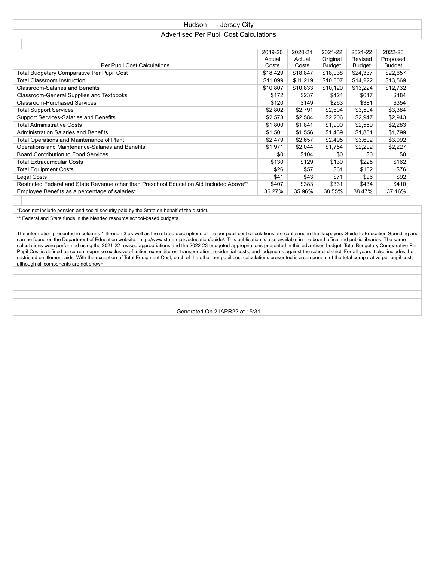| - Jersey City<br><b>Hudson</b>                                                           |          |          |               |               |          |  |  |  |
|------------------------------------------------------------------------------------------|----------|----------|---------------|---------------|----------|--|--|--|
| <b>Advertised Per Pupil Cost Calculations</b>                                            |          |          |               |               |          |  |  |  |
|                                                                                          |          |          |               |               |          |  |  |  |
| 2019-20<br>2020-21<br>2021-22<br>2021-22<br>2022-23                                      |          |          |               |               |          |  |  |  |
|                                                                                          | Actual   | Actual   | Original      | Revised       | Proposed |  |  |  |
| Per Pupil Cost Calculations                                                              | Costs    | Costs    | <b>Budget</b> | <b>Budget</b> | Budget   |  |  |  |
| Total Budgetary Comparative Per Pupil Cost                                               | \$18,429 | \$18,847 | \$18,038      | \$24,337      | \$22,657 |  |  |  |
| <b>Total Classroom Instruction</b>                                                       | \$11,099 | \$11,219 | \$10,807      | \$14,222      | \$13,569 |  |  |  |
| <b>Classroom-Salaries and Benefits</b>                                                   | \$10,807 | \$10,833 | \$10,120      | \$13,224      | \$12,732 |  |  |  |
| Classroom-General Supplies and Textbooks                                                 | \$172    | \$237    | \$424         | \$617         | \$484    |  |  |  |
| <b>Classroom-Purchased Services</b>                                                      | \$120    | \$149    | \$263         | \$381         | \$354    |  |  |  |
| <b>Total Support Services</b>                                                            | \$2,802  | \$2,791  | \$2,604       | \$3,504       | \$3,384  |  |  |  |
| Support Services-Salaries and Benefits                                                   | \$2,573  | \$2,584  | \$2,206       | \$2,947       | \$2,943  |  |  |  |
| Total Administrative Costs                                                               | \$1,800  | \$1,841  | \$1,900       | \$2,559       | \$2,283  |  |  |  |
| Administration Salaries and Benefits                                                     | \$1,501  | \$1,556  | \$1,439       | \$1,881       | \$1,799  |  |  |  |
| Total Operations and Maintenance of Plant                                                | \$2,479  | \$2,657  | \$2,495       | \$3,602       | \$3,092  |  |  |  |
| Operations and Maintenance-Salaries and Benefits                                         | \$1,971  | \$2,044  | \$1,754       | \$2,292       | \$2,227  |  |  |  |
| Board Contribution to Food Services                                                      | \$0      | \$104    | \$0           | \$0           | \$0      |  |  |  |
| <b>Total Extracurricular Costs</b>                                                       | \$130    | \$129    | \$130         | \$225         | \$162    |  |  |  |
| <b>Total Equipment Costs</b>                                                             | \$26     | \$57     | \$61          | \$102         | \$76     |  |  |  |
| Legal Costs                                                                              | \$41     | \$43     | \$71          | \$96          | \$92     |  |  |  |
| Restricted Federal and State Revenue other than Preschool Education Aid Included Above** | \$407    | \$383    | \$331         | \$434         | \$410    |  |  |  |
| Employee Benefits as a percentage of salaries*                                           | 36.27%   | 35.96%   | 38.55%        | 38.47%        | 37.16%   |  |  |  |
|                                                                                          |          |          |               |               |          |  |  |  |

\*Does not include pension and social security paid by the State on-behalf of the district. \*\* Federal and State funds in the blended resource school-based budgets.

The information presented in columns 1 through 3 as well as the related descriptions of the per pupil cost calculations are contained in the Taxpayers Guide to Education Spending and can be found on the Department of Education website: http://www.state.nj.us/education/guide/. This publication is also available in the board office and public libraries. The same calculations were performed using the 2021-22 revised appropriations and the 2022-23 budgeted appropriations presented in this advertised budget. Total Budgetary Comparative Per Pupil Cost is defined as current expense exclusive of tuition expenditures, transportation, residential costs, and judgments against the school district. For all years it also includes the restricted entitlement aids. With the exception of Total Equipment Cost, each of the other per pupil cost calculations presented is a component of the total comparative per pupil cost, although all components are not shown.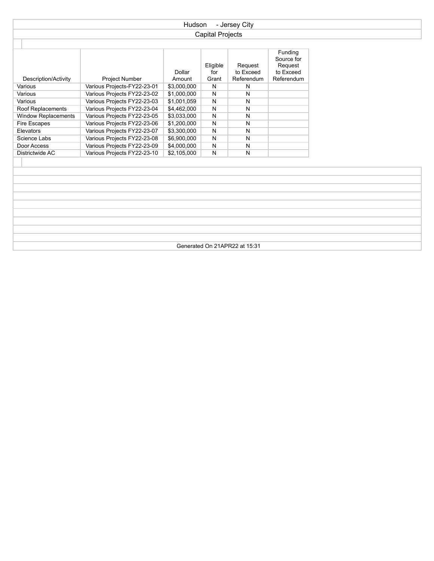| Hudson<br>- Jersey City       |                             |                  |                          |                                    |                                                             |  |  |
|-------------------------------|-----------------------------|------------------|--------------------------|------------------------------------|-------------------------------------------------------------|--|--|
|                               | <b>Capital Projects</b>     |                  |                          |                                    |                                                             |  |  |
|                               |                             |                  |                          |                                    |                                                             |  |  |
| Description/Activity          | Project Number              | Dollar<br>Amount | Eligible<br>for<br>Grant | Request<br>to Exceed<br>Referendum | Funding<br>Source for<br>Request<br>to Exceed<br>Referendum |  |  |
| Various                       | Various Projects-FY22-23-01 | \$3,000,000      | $\mathsf{N}$             | N                                  |                                                             |  |  |
| Various                       | Various Projects FY22-23-02 | \$1,000,000      | N                        | N                                  |                                                             |  |  |
| Various                       | Various Projects FY22-23-03 | \$1,001,059      | $\mathsf{N}$             | N                                  |                                                             |  |  |
| Roof Replacements             | Various Projects FY22-23-04 | \$4,462,000      | $\overline{N}$           | N                                  |                                                             |  |  |
| <b>Window Replacements</b>    | Various Projects FY22-23-05 | \$3,033,000      | $\mathsf{N}$             | N                                  |                                                             |  |  |
| Fire Escapes                  | Various Projects FY22-23-06 | \$1,200,000      | $\mathsf{N}$             | N                                  |                                                             |  |  |
| Elevators                     | Various Projects FY22-23-07 | \$3,300,000      | $\mathsf{N}$             | N                                  |                                                             |  |  |
| Science Labs                  | Various Projects FY22-23-08 | \$6,900,000      | N                        | N                                  |                                                             |  |  |
| Door Access                   | Various Projects FY22-23-09 | \$4,000,000      | $\mathsf{N}$             | N                                  |                                                             |  |  |
| Districtwide AC               | Various Projects FY22-23-10 | \$2,105,000      | $\overline{N}$           | N                                  |                                                             |  |  |
|                               |                             |                  |                          |                                    |                                                             |  |  |
| Generated On 21APR22 at 15:31 |                             |                  |                          |                                    |                                                             |  |  |